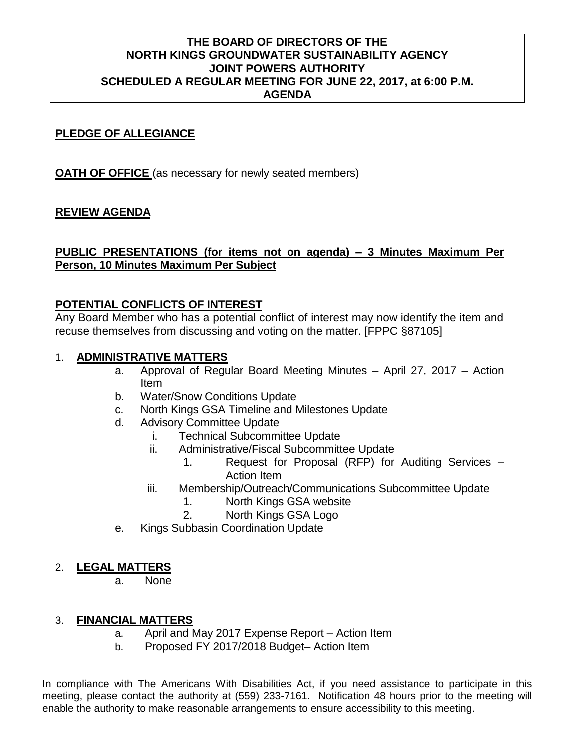### **THE BOARD OF DIRECTORS OF THE NORTH KINGS GROUNDWATER SUSTAINABILITY AGENCY JOINT POWERS AUTHORITY SCHEDULED A REGULAR MEETING FOR JUNE 22, 2017, at 6:00 P.M. AGENDA**

### **PLEDGE OF ALLEGIANCE**

**OATH OF OFFICE** (as necessary for newly seated members)

# **REVIEW AGENDA**

# **PUBLIC PRESENTATIONS (for items not on agenda) – 3 Minutes Maximum Per Person, 10 Minutes Maximum Per Subject**

# **POTENTIAL CONFLICTS OF INTEREST**

Any Board Member who has a potential conflict of interest may now identify the item and recuse themselves from discussing and voting on the matter. [FPPC §87105]

#### 1. **ADMINISTRATIVE MATTERS**

- a. Approval of Regular Board Meeting Minutes April 27, 2017 Action Item
- b. Water/Snow Conditions Update
- c. North Kings GSA Timeline and Milestones Update
- d. Advisory Committee Update
	- i. Technical Subcommittee Update
	- ii. Administrative/Fiscal Subcommittee Update
		- 1. Request for Proposal (RFP) for Auditing Services Action Item
	- iii. Membership/Outreach/Communications Subcommittee Update
		- 1. North Kings GSA website
		- 2. North Kings GSA Logo
- e. Kings Subbasin Coordination Update

### 2. **LEGAL MATTERS**

a. None

### 3. **FINANCIAL MATTERS**

- a. April and May 2017 Expense Report Action Item
- b. Proposed FY 2017/2018 Budget– Action Item

In compliance with The Americans With Disabilities Act, if you need assistance to participate in this meeting, please contact the authority at (559) 233-7161. Notification 48 hours prior to the meeting will enable the authority to make reasonable arrangements to ensure accessibility to this meeting.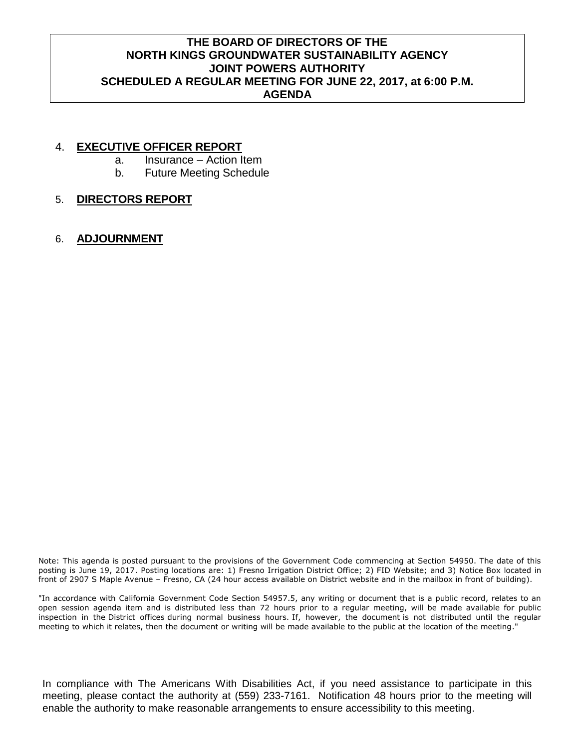# **THE BOARD OF DIRECTORS OF THE NORTH KINGS GROUNDWATER SUSTAINABILITY AGENCY JOINT POWERS AUTHORITY SCHEDULED A REGULAR MEETING FOR JUNE 22, 2017, at 6:00 P.M. AGENDA**

#### 4. **EXECUTIVE OFFICER REPORT**

- a. Insurance Action Item
- b. Future Meeting Schedule

### 5. **DIRECTORS REPORT**

6. **ADJOURNMENT**

Note: This agenda is posted pursuant to the provisions of the Government Code commencing at Section 54950. The date of this posting is June 19, 2017. Posting locations are: 1) Fresno Irrigation District Office; 2) FID Website; and 3) Notice Box located in front of 2907 S Maple Avenue – Fresno, CA (24 hour access available on District website and in the mailbox in front of building).

"In accordance with California Government Code Section 54957.5, any writing or document that is a public record, relates to an open session agenda item and is distributed less than 72 hours prior to a regular meeting, will be made available for public inspection in the District offices during normal business hours. If, however, the document is not distributed until the regular meeting to which it relates, then the document or writing will be made available to the public at the location of the meeting."

In compliance with The Americans With Disabilities Act, if you need assistance to participate in this meeting, please contact the authority at (559) 233-7161. Notification 48 hours prior to the meeting will enable the authority to make reasonable arrangements to ensure accessibility to this meeting.